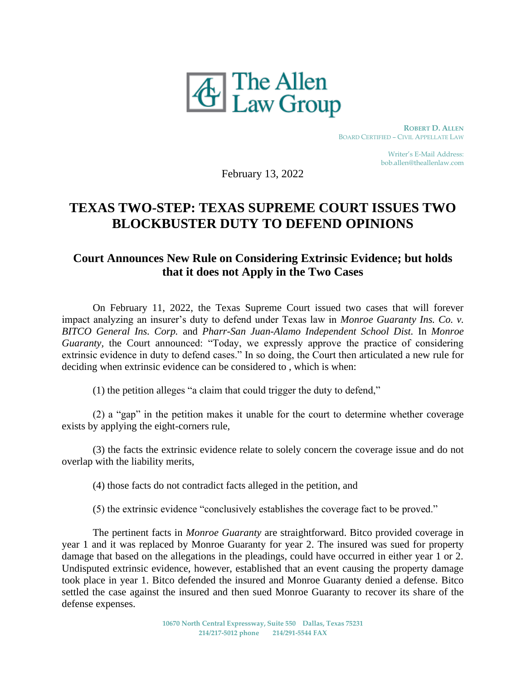

 **ROBERT D. ALLEN** BOARD CERTIFIED – CIVIL APPELLATE LAW

> Writer's E-Mail Address: bob.allen@theallenlaw.com

February 13, 2022

## **TEXAS TWO-STEP: TEXAS SUPREME COURT ISSUES TWO BLOCKBUSTER DUTY TO DEFEND OPINIONS**

## **Court Announces New Rule on Considering Extrinsic Evidence; but holds that it does not Apply in the Two Cases**

On February 11, 2022, the Texas Supreme Court issued two cases that will forever impact analyzing an insurer's duty to defend under Texas law in *Monroe Guaranty Ins. Co. v. BITCO General Ins. Corp.* and *Pharr-San Juan-Alamo Independent School Dist.* In *Monroe Guaranty*, the Court announced: "Today, we expressly approve the practice of considering extrinsic evidence in duty to defend cases." In so doing, the Court then articulated a new rule for deciding when extrinsic evidence can be considered to , which is when:

(1) the petition alleges "a claim that could trigger the duty to defend,"

(2) a "gap" in the petition makes it unable for the court to determine whether coverage exists by applying the eight-corners rule,

(3) the facts the extrinsic evidence relate to solely concern the coverage issue and do not overlap with the liability merits,

(4) those facts do not contradict facts alleged in the petition, and

(5) the extrinsic evidence "conclusively establishes the coverage fact to be proved."

The pertinent facts in *Monroe Guaranty* are straightforward. Bitco provided coverage in year 1 and it was replaced by Monroe Guaranty for year 2. The insured was sued for property damage that based on the allegations in the pleadings, could have occurred in either year 1 or 2. Undisputed extrinsic evidence, however, established that an event causing the property damage took place in year 1. Bitco defended the insured and Monroe Guaranty denied a defense. Bitco settled the case against the insured and then sued Monroe Guaranty to recover its share of the defense expenses.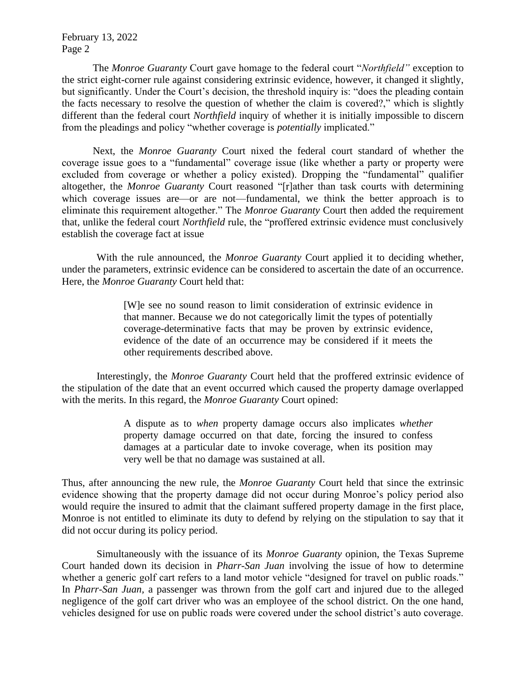February 13, 2022 Page 2

The *Monroe Guaranty* Court gave homage to the federal court "*Northfield"* exception to the strict eight-corner rule against considering extrinsic evidence, however, it changed it slightly, but significantly. Under the Court's decision, the threshold inquiry is: "does the pleading contain the facts necessary to resolve the question of whether the claim is covered?," which is slightly different than the federal court *Northfield* inquiry of whether it is initially impossible to discern from the pleadings and policy "whether coverage is *potentially* implicated."

Next, the *Monroe Guaranty* Court nixed the federal court standard of whether the coverage issue goes to a "fundamental" coverage issue (like whether a party or property were excluded from coverage or whether a policy existed). Dropping the "fundamental" qualifier altogether, the *Monroe Guaranty* Court reasoned "[r]ather than task courts with determining which coverage issues are—or are not—fundamental, we think the better approach is to eliminate this requirement altogether." The *Monroe Guaranty* Court then added the requirement that, unlike the federal court *Northfield* rule, the "proffered extrinsic evidence must conclusively establish the coverage fact at issue

With the rule announced, the *Monroe Guaranty* Court applied it to deciding whether, under the parameters, extrinsic evidence can be considered to ascertain the date of an occurrence. Here, the *Monroe Guaranty* Court held that:

> [W]e see no sound reason to limit consideration of extrinsic evidence in that manner. Because we do not categorically limit the types of potentially coverage-determinative facts that may be proven by extrinsic evidence, evidence of the date of an occurrence may be considered if it meets the other requirements described above.

Interestingly, the *Monroe Guaranty* Court held that the proffered extrinsic evidence of the stipulation of the date that an event occurred which caused the property damage overlapped with the merits. In this regard, the *Monroe Guaranty* Court opined:

> A dispute as to *when* property damage occurs also implicates *whether*  property damage occurred on that date, forcing the insured to confess damages at a particular date to invoke coverage, when its position may very well be that no damage was sustained at all.

Thus, after announcing the new rule, the *Monroe Guaranty* Court held that since the extrinsic evidence showing that the property damage did not occur during Monroe's policy period also would require the insured to admit that the claimant suffered property damage in the first place, Monroe is not entitled to eliminate its duty to defend by relying on the stipulation to say that it did not occur during its policy period.

Simultaneously with the issuance of its *Monroe Guaranty* opinion, the Texas Supreme Court handed down its decision in *Pharr-San Juan* involving the issue of how to determine whether a generic golf cart refers to a land motor vehicle "designed for travel on public roads." In *Pharr-San Juan,* a passenger was thrown from the golf cart and injured due to the alleged negligence of the golf cart driver who was an employee of the school district. On the one hand, vehicles designed for use on public roads were covered under the school district's auto coverage.